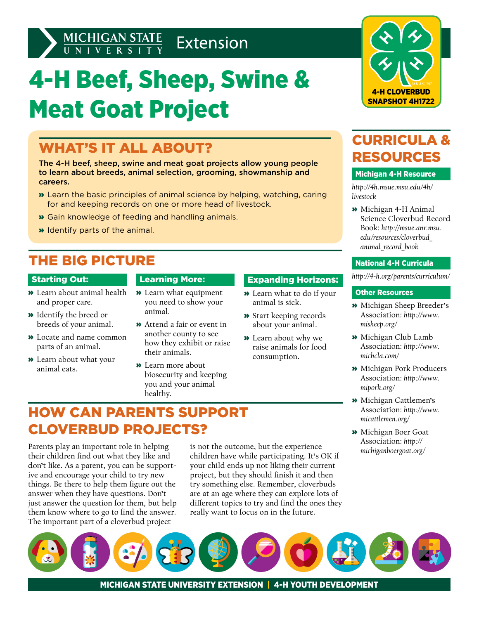## MICHIGAN STATE | Extension

# 4-H Beef, Sheep, Swine & Meat Goat Project

### WHAT'S IT ALL ABOUT?

The 4-H beef, sheep, swine and meat goat projects allow young people to learn about breeds, animal selection, grooming, showmanship and careers.

- » Learn the basic principles of animal science by helping, watching, caring for and keeping records on one or more head of livestock.
- » Gain knowledge of feeding and handling animals.
- » Identify parts of the animal.

### THE BIG PICTURE

#### Starting Out:

- » Learn about animal health and proper care.
- » Identify the breed or breeds of your animal.
- » Locate and name common parts of an animal.
- » Learn about what your animal eats.

#### Learning More:

- » Learn what equipment you need to show your animal.
- » Attend a fair or event in another county to see how they exhibit or raise their animals.
- » Learn more about biosecurity and keeping you and your animal healthy.

#### Expanding Horizons:

- » Learn what to do if your animal is sick.
- » Start keeping records about your animal.
- » Learn about why we raise animals for food consumption.



### CURRICULA & RESOURCES

#### Michigan 4-H Resource

*[http://4h.msue.msu.edu/4h/](http://4h.msue.msu.edu/4h/livestock) [livestock](http://4h.msue.msu.edu/4h/livestock)*

» Michigan 4-H Animal Science Cloverbud Record Book: *[http://msue.anr.msu.](http://msue.anr.msu.edu/resources/cloverbud_animal_record_book) [edu/resources/cloverbud\\_](http://msue.anr.msu.edu/resources/cloverbud_animal_record_book) [animal\\_record\\_book](http://msue.anr.msu.edu/resources/cloverbud_animal_record_book)*

#### National 4-H Curricula

*<http://4-h.org/parents/curriculum/>*

#### Other Resources

- » Michigan Sheep Breeder's Association: *[http://www.](http://www.misheep.org/) [misheep.org/](http://www.misheep.org/)*
- » Michigan Club Lamb Association: *[http://www.](http://www.michcla.com/) [michcla.com/](http://www.michcla.com/)*
- » Michigan Pork Producers Association: *[http://www.](http://www.mipork.org/) [mipork.org/](http://www.mipork.org/)*
- » Michigan Cattlemen's Association: *[http://www.](http://www.micattlemen.org/) [micattlemen.org/](http://www.micattlemen.org/)*
- » Michigan Boer Goat Association: *[http://](http://michiganboergoat.org/) [michiganboergoat.org/](http://michiganboergoat.org/)*

### HOW CAN PARENTS SUPPORT CLOVERBUD PROJECTS?

Parents play an important role in helping their children find out what they like and don't like. As a parent, you can be supportive and encourage your child to try new things. Be there to help them figure out the answer when they have questions. Don't just answer the question for them, but help them know where to go to find the answer. The important part of a cloverbud project

is not the outcome, but the experience children have while participating. It's OK if your child ends up not liking their current project, but they should finish it and then try something else. Remember, cloverbuds are at an age where they can explore lots of different topics to try and find the ones they really want to focus on in the future.